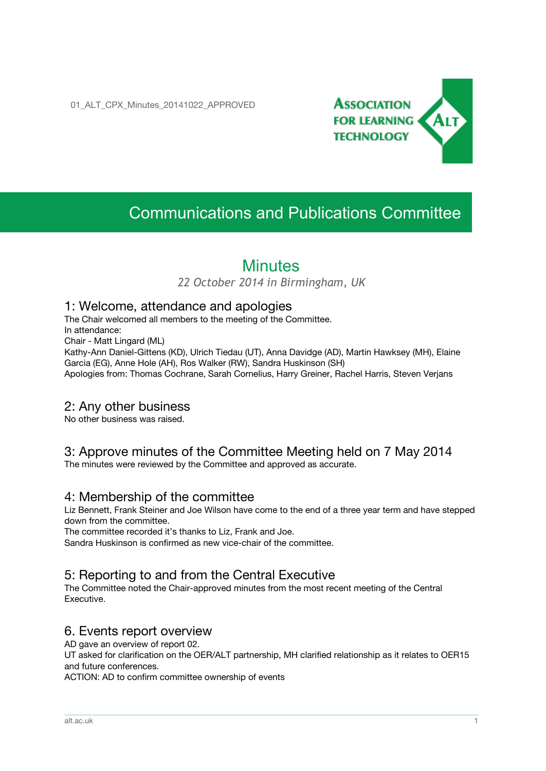01 ALT CPX Minutes 20141022 APPROVED



# Communications and Publications Committee

## **Minutes**

*22 October 2014 in Birmingham, UK*

#### 1: Welcome, attendance and apologies

The Chair welcomed all members to the meeting of the Committee. In attendance: Chair - Matt Lingard (ML) Kathy-Ann Daniel-Gittens (KD), Ulrich Tiedau (UT), Anna Davidge (AD), Martin Hawksey (MH), Elaine Garcia (EG), Anne Hole (AH), Ros Walker (RW), Sandra Huskinson (SH) Apologies from: Thomas Cochrane, Sarah Cornelius, Harry Greiner, Rachel Harris, Steven Verjans

#### 2: Any other business

No other business was raised.

## 3: Approve minutes of the Committee Meeting held on 7 May 2014

The minutes were reviewed by the Committee and approved as accurate.

#### 4: Membership of the committee

Liz Bennett, Frank Steiner and Joe Wilson have come to the end of a three year term and have stepped down from the committee.

The committee recorded it's thanks to Liz, Frank and Joe.

Sandra Huskinson is confirmed as new vice-chair of the committee.

## 5: Reporting to and from the Central Executive

The Committee noted the Chair-approved minutes from the most recent meeting of the Central Executive.

#### 6. Events report overview

AD gave an overview of report 02.

UT asked for clarification on the OER/ALT partnership, MH clarified relationship as it relates to OER15 and future conferences.

\_\_\_\_\_\_\_\_\_\_\_\_\_\_\_\_\_\_\_\_\_\_\_\_\_\_\_\_\_\_\_\_\_\_\_\_\_\_\_\_\_\_\_\_\_\_\_\_\_\_\_\_\_\_\_\_\_\_\_\_\_\_\_\_\_\_\_\_\_\_\_\_\_\_\_\_\_\_\_\_\_\_\_\_\_\_\_\_\_\_\_\_\_\_\_\_\_\_\_\_\_\_\_\_\_\_\_\_\_\_\_\_\_\_\_\_\_\_\_\_\_\_\_\_\_\_\_\_\_\_\_\_\_\_\_\_\_\_\_\_\_\_\_\_\_\_\_\_\_\_\_

ACTION: AD to confirm committee ownership of events